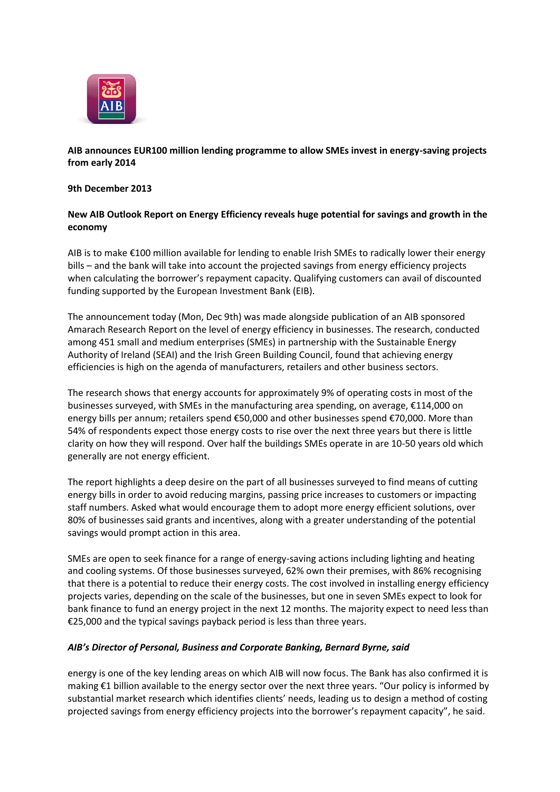

# **AIB announces EUR100 million lending programme to allow SMEs invest in energy-saving projects from early 2014**

## **9th December 2013**

## **New AIB Outlook Report on Energy Efficiency reveals huge potential for savings and growth in the economy**

AIB is to make €100 million available for lending to enable Irish SMEs to radically lower their energy bills – and the bank will take into account the projected savings from energy efficiency projects when calculating the borrower's repayment capacity. Qualifying customers can avail of discounted funding supported by the European Investment Bank (EIB).

The announcement today (Mon, Dec 9th) was made alongside publication of an AIB sponsored Amarach Research Report on the level of energy efficiency in businesses. The research, conducted among 451 small and medium enterprises (SMEs) in partnership with the Sustainable Energy Authority of Ireland (SEAI) and the Irish Green Building Council, found that achieving energy efficiencies is high on the agenda of manufacturers, retailers and other business sectors.

The research shows that energy accounts for approximately 9% of operating costs in most of the businesses surveyed, with SMEs in the manufacturing area spending, on average, €114,000 on energy bills per annum; retailers spend €50,000 and other businesses spend €70,000. More than 54% of respondents expect those energy costs to rise over the next three years but there is little clarity on how they will respond. Over half the buildings SMEs operate in are 10-50 years old which generally are not energy efficient.

The report highlights a deep desire on the part of all businesses surveyed to find means of cutting energy bills in order to avoid reducing margins, passing price increases to customers or impacting staff numbers. Asked what would encourage them to adopt more energy efficient solutions, over 80% of businesses said grants and incentives, along with a greater understanding of the potential savings would prompt action in this area.

SMEs are open to seek finance for a range of energy-saving actions including lighting and heating and cooling systems. Of those businesses surveyed, 62% own their premises, with 86% recognising that there is a potential to reduce their energy costs. The cost involved in installing energy efficiency projects varies, depending on the scale of the businesses, but one in seven SMEs expect to look for bank finance to fund an energy project in the next 12 months. The majority expect to need less than €25,000 and the typical savings payback period is less than three years.

## *AIB's Director of Personal, Business and Corporate Banking, Bernard Byrne, said*

energy is one of the key lending areas on which AIB will now focus. The Bank has also confirmed it is making €1 billion available to the energy sector over the next three years. "Our policy is informed by substantial market research which identifies clients' needs, leading us to design a method of costing projected savings from energy efficiency projects into the borrower's repayment capacity", he said.